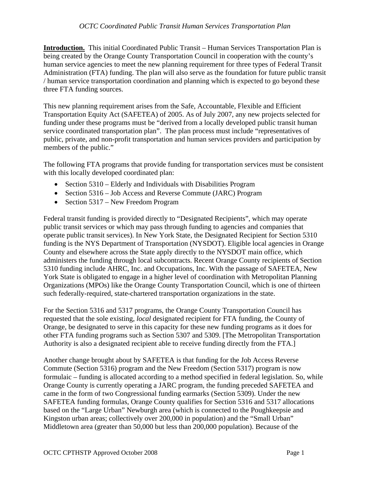**Introduction.** This initial Coordinated Public Transit – Human Services Transportation Plan is being created by the Orange County Transportation Council in cooperation with the county's human service agencies to meet the new planning requirement for three types of Federal Transit Administration (FTA) funding. The plan will also serve as the foundation for future public transit / human service transportation coordination and planning which is expected to go beyond these three FTA funding sources.

This new planning requirement arises from the Safe, Accountable, Flexible and Efficient Transportation Equity Act (SAFETEA) of 2005. As of July 2007, any new projects selected for funding under these programs must be "derived from a locally developed public transit human service coordinated transportation plan". The plan process must include "representatives of public, private, and non-profit transportation and human services providers and participation by members of the public."

The following FTA programs that provide funding for transportation services must be consistent with this locally developed coordinated plan:

- Section 5310 Elderly and Individuals with Disabilities Program
- Section 5316 Job Access and Reverse Commute (JARC) Program
- Section 5317 New Freedom Program

Federal transit funding is provided directly to "Designated Recipients", which may operate public transit services or which may pass through funding to agencies and companies that operate public transit services). In New York State, the Designated Recipient for Section 5310 funding is the NYS Department of Transportation (NYSDOT). Eligible local agencies in Orange County and elsewhere across the State apply directly to the NYSDOT main office, which administers the funding through local subcontracts. Recent Orange County recipients of Section 5310 funding include AHRC, Inc. and Occupations, Inc. With the passage of SAFETEA, New York State is obligated to engage in a higher level of coordination with Metropolitan Planning Organizations (MPOs) like the Orange County Transportation Council, which is one of thirteen such federally-required, state-chartered transportation organizations in the state.

For the Section 5316 and 5317 programs, the Orange County Transportation Council has requested that the sole existing, *local* designated recipient for FTA funding, the County of Orange, be designated to serve in this capacity for these new funding programs as it does for other FTA funding programs such as Section 5307 and 5309. [The Metropolitan Transportation Authority is also a designated recipient able to receive funding directly from the FTA.]

Another change brought about by SAFETEA is that funding for the Job Access Reverse Commute (Section 5316) program and the New Freedom (Section 5317) program is now formulaic – funding is allocated according to a method specified in federal legislation. So, while Orange County is currently operating a JARC program, the funding preceded SAFETEA and came in the form of two Congressional funding earmarks (Section 5309). Under the new SAFETEA funding formulas, Orange County qualifies for Section 5316 and 5317 allocations based on the "Large Urban" Newburgh area (which is connected to the Poughkeepsie and Kingston urban areas; collectively over 200,000 in population) and the "Small Urban" Middletown area (greater than 50,000 but less than 200,000 population). Because of the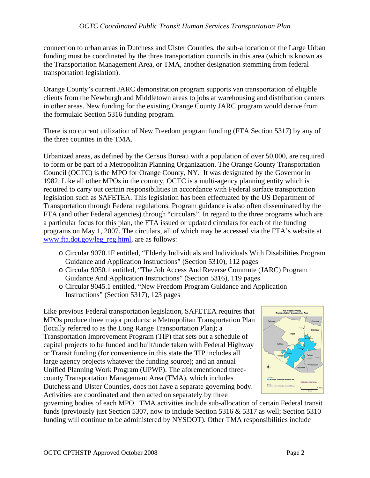connection to urban areas in Dutchess and Ulster Counties, the sub-allocation of the Large Urban funding must be coordinated by the three transportation councils in this area (which is known as the Transportation Management Area, or TMA, another designation stemming from federal transportation legislation).

Orange County's current JARC demonstration program supports van transportation of eligible clients from the Newburgh and Middletown areas to jobs at warehousing and distribution centers in other areas. New funding for the existing Orange County JARC program would derive from the formulaic Section 5316 funding program.

There is no current utilization of New Freedom program funding (FTA Section 5317) by any of the three counties in the TMA.

Urbanized areas, as defined by the Census Bureau with a population of over 50,000, are required to form or be part of a Metropolitan Planning Organization. The Orange County Transportation Council (OCTC) is the MPO for Orange County, NY. It was designated by the Governor in 1982. Like all other MPOs in the country, OCTC is a multi-agency planning entity which is required to carry out certain responsibilities in accordance with Federal surface transportation legislation such as SAFETEA. This legislation has been effectuated by the US Department of Transportation through Federal regulations. Program guidance is also often disseminated by the FTA (and other Federal agencies) through "circulars". In regard to the three programs which are a particular focus for this plan, the FTA issued or updated circulars for each of the funding programs on May 1, 2007. The circulars, all of which may be accessed via the FTA's website at [www.fta.dot.gov/leg\\_reg.html](http://www.fta.dot.gov/leg_reg.html), are as follows:

- o Circular 9070.1F entitled, "Elderly Individuals and Individuals With Disabilities Program Guidance and Application Instructions" (Section 5310), 112 pages
- o Circular 9050.1 entitled, "The Job Access And Reverse Commute (JARC) Program Guidance And Application Instructions" (Section 5316), 119 pages
- o Circular 9045.1 entitled, "New Freedom Program Guidance and Application Instructions" (Section 5317), 123 pages

Like previous Federal transportation legislation, SAFETEA requires that MPOs produce three major products: a Metropolitan Transportation Plan (locally referred to as the Long Range Transportation Plan); a Transportation Improvement Program (TIP) that sets out a schedule of capital projects to be funded and built/undertaken with Federal Highway or Transit funding (for convenience in this state the TIP includes all large agency projects whatever the funding source); and an annual Unified Planning Work Program (UPWP). The aforementioned threecounty Transportation Management Area (TMA), which includes Dutchess and Ulster Counties, does not have a separate governing body. Activities are coordinated and then acted on separately by three



governing bodies of each MPO. TMA activities include sub-allocation of certain Federal transit funds (previously just Section 5307, now to include Section 5316 & 5317 as well; Section 5310 funding will continue to be administered by NYSDOT). Other TMA responsibilities include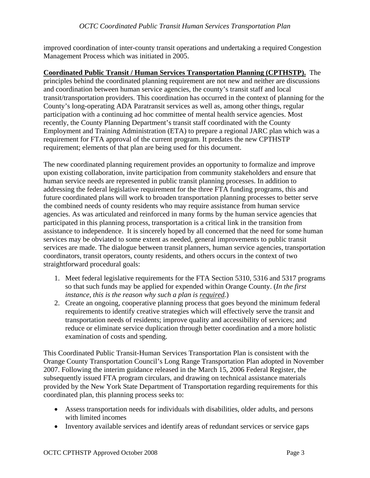improved coordination of inter-county transit operations and undertaking a required Congestion Management Process which was initiated in 2005.

**Coordinated Public Transit / Human Services Transportation Planning (CPTHSTP).** The principles behind the coordinated planning requirement are not new and neither are discussions and coordination between human service agencies, the county's transit staff and local transit/transportation providers. This coordination has occurred in the context of planning for the County's long-operating ADA Paratransit services as well as, among other things, regular participation with a continuing ad hoc committee of mental health service agencies. Most recently, the County Planning Department's transit staff coordinated with the County Employment and Training Administration (ETA) to prepare a regional JARC plan which was a requirement for FTA approval of the current program. It predates the new CPTHSTP requirement; elements of that plan are being used for this document.

The new coordinated planning requirement provides an opportunity to formalize and improve upon existing collaboration, invite participation from community stakeholders and ensure that human service needs are represented in public transit planning processes. In addition to addressing the federal legislative requirement for the three FTA funding programs, this and future coordinated plans will work to broaden transportation planning processes to better serve the combined needs of county residents who may require assistance from human service agencies. As was articulated and reinforced in many forms by the human service agencies that participated in this planning process, transportation is a critical link in the transition from assistance to independence. It is sincerely hoped by all concerned that the need for some human services may be obviated to some extent as needed, general improvements to public transit services are made. The dialogue between transit planners, human service agencies, transportation coordinators, transit operators, county residents, and others occurs in the context of two straightforward procedural goals:

- 1. Meet federal legislative requirements for the FTA Section 5310, 5316 and 5317 programs so that such funds may be applied for expended within Orange County. (*In the first instance, this is the reason why such a plan is required.*)
- 2. Create an ongoing, cooperative planning process that goes beyond the minimum federal requirements to identify creative strategies which will effectively serve the transit and transportation needs of residents; improve quality and accessibility of services; and reduce or eliminate service duplication through better coordination and a more holistic examination of costs and spending.

This Coordinated Public Transit-Human Services Transportation Plan is consistent with the Orange County Transportation Council's Long Range Transportation Plan adopted in November 2007. Following the interim guidance released in the March 15, 2006 Federal Register, the subsequently issued FTA program circulars, and drawing on technical assistance materials provided by the New York State Department of Transportation regarding requirements for this coordinated plan, this planning process seeks to:

- Assess transportation needs for individuals with disabilities, older adults, and persons with limited incomes
- Inventory available services and identify areas of redundant services or service gaps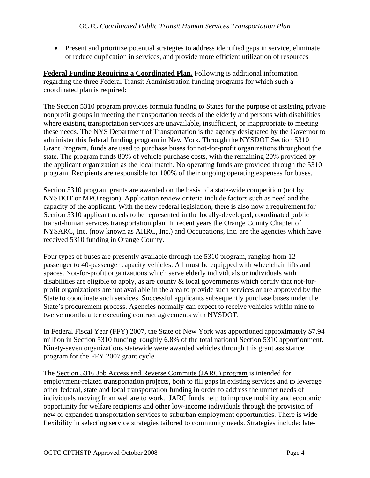• Present and prioritize potential strategies to address identified gaps in service, eliminate or reduce duplication in services, and provide more efficient utilization of resources

**Federal Funding Requiring a Coordinated Plan.** Following is additional information regarding the three Federal Transit Administration funding programs for which such a coordinated plan is required:

The Section 5310 program provides formula funding to States for the purpose of assisting private nonprofit groups in meeting the transportation needs of the elderly and persons with disabilities where existing transportation services are unavailable, insufficient, or inappropriate to meeting these needs. The NYS Department of Transportation is the agency designated by the Governor to administer this federal funding program in New York. Through the NYSDOT Section 5310 Grant Program, funds are used to purchase buses for not-for-profit organizations throughout the state. The program funds 80% of vehicle purchase costs, with the remaining 20% provided by the applicant organization as the local match. No operating funds are provided through the 5310 program. Recipients are responsible for 100% of their ongoing operating expenses for buses.

Section 5310 program grants are awarded on the basis of a state-wide competition (not by NYSDOT or MPO region). Application review criteria include factors such as need and the capacity of the applicant. With the new federal legislation, there is also now a requirement for Section 5310 applicant needs to be represented in the locally-developed, coordinated public transit-human services transportation plan. In recent years the Orange County Chapter of NYSARC, Inc. (now known as AHRC, Inc.) and Occupations, Inc. are the agencies which have received 5310 funding in Orange County.

Four types of buses are presently available through the 5310 program, ranging from 12 passenger to 40-passenger capacity vehicles. All must be equipped with wheelchair lifts and spaces. Not-for-profit organizations which serve elderly individuals or individuals with disabilities are eligible to apply, as are county & local governments which certify that not-forprofit organizations are not available in the area to provide such services or are approved by the State to coordinate such services. Successful applicants subsequently purchase buses under the State's procurement process. Agencies normally can expect to receive vehicles within nine to twelve months after executing contract agreements with NYSDOT.

In Federal Fiscal Year (FFY) 2007, the State of New York was apportioned approximately \$7.94 million in Section 5310 funding, roughly 6.8% of the total national Section 5310 apportionment. Ninety-seven organizations statewide were awarded vehicles through this grant assistance program for the FFY 2007 grant cycle.

The Section 5316 Job Access and Reverse Commute (JARC) program is intended for employment-related transportation projects, both to fill gaps in existing services and to leverage other federal, state and local transportation funding in order to address the unmet needs of individuals moving from welfare to work. JARC funds help to improve mobility and economic opportunity for welfare recipients and other low-income individuals through the provision of new or expanded transportation services to suburban employment opportunities. There is wide flexibility in selecting service strategies tailored to community needs. Strategies include: late-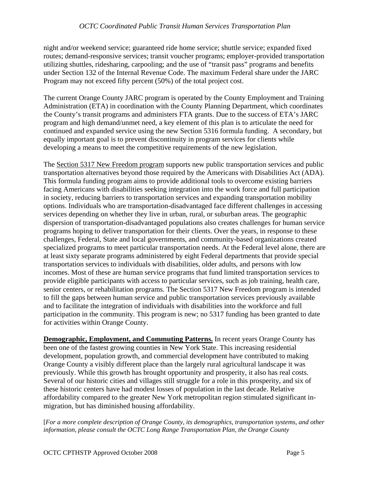night and/or weekend service; guaranteed ride home service; shuttle service; expanded fixed routes; demand-responsive services; transit voucher programs; employer-provided transportation utilizing shuttles, ridesharing, carpooling; and the use of "transit pass" programs and benefits under Section 132 of the Internal Revenue Code. The maximum Federal share under the JARC Program may not exceed fifty percent (50%) of the total project cost.

The current Orange County JARC program is operated by the County Employment and Training Administration (ETA) in coordination with the County Planning Department, which coordinates the County's transit programs and administers FTA grants. Due to the success of ETA's JARC program and high demand/unmet need, a key element of this plan is to articulate the need for continued and expanded service using the new Section 5316 formula funding. A secondary, but equally important goal is to prevent discontinuity in program services for clients while developing a means to meet the competitive requirements of the new legislation.

The Section 5317 New Freedom program supports new public transportation services and public transportation alternatives beyond those required by the Americans with Disabilities Act (ADA). This formula funding program aims to provide additional tools to overcome existing barriers facing Americans with disabilities seeking integration into the work force and full participation in society, reducing barriers to transportation services and expanding transportation mobility options. Individuals who are transportation-disadvantaged face different challenges in accessing services depending on whether they live in urban, rural, or suburban areas. The geographic dispersion of transportation-disadvantaged populations also creates challenges for human service programs hoping to deliver transportation for their clients. Over the years, in response to these challenges, Federal, State and local governments, and community-based organizations created specialized programs to meet particular transportation needs. At the Federal level alone, there are at least sixty separate programs administered by eight Federal departments that provide special transportation services to individuals with disabilities, older adults, and persons with low incomes. Most of these are human service programs that fund limited transportation services to provide eligible participants with access to particular services, such as job training, health care, senior centers, or rehabilitation programs. The Section 5317 New Freedom program is intended to fill the gaps between human service and public transportation services previously available and to facilitate the integration of individuals with disabilities into the workforce and full participation in the community. This program is new; no 5317 funding has been granted to date for activities within Orange County.

**Demographic, Employment, and Commuting Patterns.** In recent years Orange County has been one of the fastest growing counties in New York State. This increasing residential development, population growth, and commercial development have contributed to making Orange County a visibly different place than the largely rural agricultural landscape it was previously. While this growth has brought opportunity and prosperity, it also has real costs. Several of our historic cities and villages still struggle for a role in this prosperity, and six of these historic centers have had modest losses of population in the last decade. Relative affordability compared to the greater New York metropolitan region stimulated significant inmigration, but has diminished housing affordability.

[*For a more complete description of Orange County, its demographics, transportation systems, and other information, please consult the OCTC Long Range Transportation Plan, the Orange County*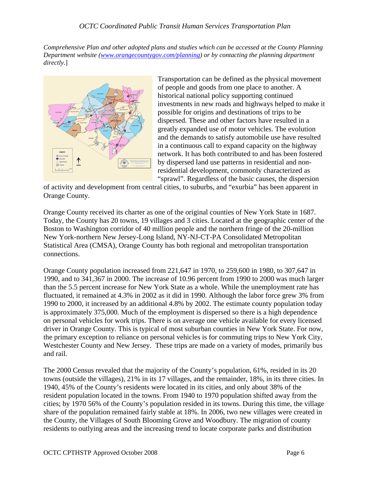*Comprehensive Plan and other adopted plans and studies which can be accessed at the County Planning Department website ([www.orangecountygov.com/planning](http://www.orangecountygov.com/planning)) or by contacting the planning department directly.*]



Transportation can be defined as the physical movement of people and goods from one place to another. A historical national policy supporting continued investments in new roads and highways helped to make it possible for origins and destinations of trips to be dispersed. These and other factors have resulted in a greatly expanded use of motor vehicles. The evolution and the demands to satisfy automobile use have resulted in a continuous call to expand capacity on the highway network. It has both contributed to and has been fostered by dispersed land use patterns in residential and nonresidential development, commonly characterized as "sprawl". Regardless of the basic causes, the dispersion

of activity and development from central cities, to suburbs, and "exurbia" has been apparent in Orange County.

Orange County received its charter as one of the original counties of New York State in 1687. Today, the County has 20 towns, 19 villages and 3 cities. Located at the geographic center of the Boston to Washington corridor of 40 million people and the northern fringe of the 20-million New York-northern New Jersey-Long Island, NY-NJ-CT-PA Consolidated Metropolitan Statistical Area (CMSA), Orange County has both regional and metropolitan transportation connections.

Orange County population increased from 221,647 in 1970, to 259,600 in 1980, to 307,647 in 1990, and to 341,367 in 2000. The increase of 10.96 percent from 1990 to 2000 was much larger than the 5.5 percent increase for New York State as a whole. While the unemployment rate has fluctuated, it remained at 4.3% in 2002 as it did in 1990. Although the labor force grew 3% from 1990 to 2000, it increased by an additional 4.8% by 2002. The estimate county population today is approximately 375,000. Much of the employment is dispersed so there is a high dependence on personal vehicles for work trips. There is on average one vehicle available for every licensed driver in Orange County. This is typical of most suburban counties in New York State. For now, the primary exception to reliance on personal vehicles is for commuting trips to New York City, Westchester County and New Jersey. These trips are made on a variety of modes, primarily bus and rail.

The 2000 Census revealed that the majority of the County's population, 61%, resided in its 20 towns (outside the villages), 21% in its 17 villages, and the remainder, 18%, in its three cities. In 1940, 45% of the County's residents were located in its cities, and only about 38% of the resident population located in the towns. From 1940 to 1970 population shifted away from the cities; by 1970 56% of the County's population resided in its towns. During this time, the village share of the population remained fairly stable at 18%. In 2006, two new villages were created in the County, the Villages of South Blooming Grove and Woodbury. The migration of county residents to outlying areas and the increasing trend to locate corporate parks and distribution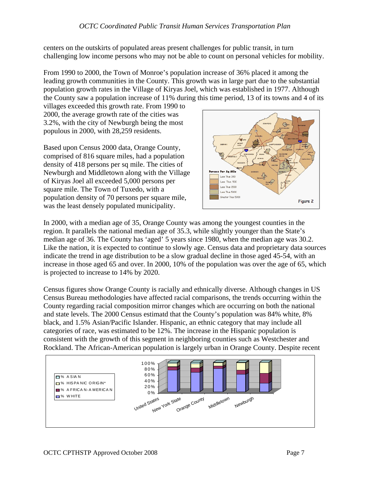centers on the outskirts of populated areas present challenges for public transit, in turn challenging low income persons who may not be able to count on personal vehicles for mobility.

From 1990 to 2000, the Town of Monroe's population increase of 36% placed it among the leading growth communities in the County. This growth was in large part due to the substantial population growth rates in the Village of Kiryas Joel, which was established in 1977. Although the County saw a population increase of 11% during this time period, 13 of its towns and 4 of its

villages exceeded this growth rate. From 1990 to 2000, the average growth rate of the cities was 3.2%, with the city of Newburgh being the most populous in 2000, with 28,259 residents.

Based upon Census 2000 data, Orange County, comprised of 816 square miles, had a population density of 418 persons per sq mile. The cities of Newburgh and Middletown along with the Village of Kiryas Joel all exceeded 5,000 persons per square mile. The Town of Tuxedo, with a population density of 70 persons per square mile, was the least densely populated municipality.



In 2000, with a median age of 35, Orange County was among the youngest counties in the region. It parallels the national median age of 35.3, while slightly younger than the State's median age of 36. The County has 'aged' 5 years since 1980, when the median age was 30.2. Like the nation, it is expected to continue to slowly age. Census data and proprietary data sources indicate the trend in age distribution to be a slow gradual decline in those aged 45-54, with an increase in those aged 65 and over. In 2000, 10% of the population was over the age of 65, which is projected to increase to 14% by 2020.

Census figures show Orange County is racially and ethnically diverse. Although changes in US Census Bureau methodologies have affected racial comparisons, the trends occurring within the County regarding racial composition mirror changes which are occurring on both the national and state levels. The 2000 Census estimatd that the County's population was 84% white, 8% black, and 1.5% Asian/Pacific Islander. Hispanic, an ethnic category that may include all categories of race, was estimated to be 12%. The increase in the Hispanic population is consistent with the growth of this segment in neighboring counties such as Westchester and Rockland. The African-American population is largely urban in Orange County. Despite recent

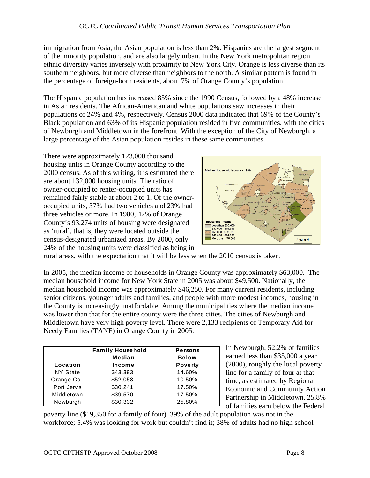immigration from Asia, the Asian population is less than 2%. Hispanics are the largest segment of the minority population, and are also largely urban. In the New York metropolitan region ethnic diversity varies inversely with proximity to New York City. Orange is less diverse than its southern neighbors, but more diverse than neighbors to the north. A similar pattern is found in the percentage of foreign-born residents, about 7% of Orange County's population

The Hispanic population has increased 85% since the 1990 Census, followed by a 48% increase in Asian residents. The African-American and white populations saw increases in their populations of 24% and 4%, respectively. Census 2000 data indicated that 69% of the County's Black population and 63% of its Hispanic population resided in five communities, with the cities of Newburgh and Middletown in the forefront. With the exception of the City of Newburgh, a large percentage of the Asian population resides in these same communities.

There were approximately 123,000 thousand housing units in Orange County according to the 2000 census. As of this writing, it is estimated there are about 132,000 housing units. The ratio of owner-occupied to renter-occupied units has remained fairly stable at about 2 to 1. Of the owneroccupied units, 37% had two vehicles and 23% had three vehicles or more. In 1980, 42% of Orange County's 93,274 units of housing were designated as 'rural', that is, they were located outside the census-designated urbanized areas. By 2000, only 24% of the housing units were classified as being in



rural areas, with the expectation that it will be less when the 2010 census is taken.

In 2005, the median income of households in Orange County was approximately \$63,000. The median household income for New York State in 2005 was about \$49,500. Nationally, the median household income was approximately \$46,250. For many current residents, including senior citizens, younger adults and families, and people with more modest incomes, housing in the County is increasingly unaffordable. Among the municipalities where the median income was lower than that for the entire county were the three cities. The cities of Newburgh and Middletown have very high poverty level. There were 2,133 recipients of Temporary Aid for Needy Families (TANF) in Orange County in 2005.

|                 | <b>Family Household</b> | <b>Persons</b> |
|-----------------|-------------------------|----------------|
|                 | Median                  | <b>Below</b>   |
| Location        | Income                  | <b>Poverty</b> |
| <b>NY State</b> | \$43,393                | 14.60%         |
| Orange Co.      | \$52,058                | 10.50%         |
| Port Jervis     | \$30,241                | 17.50%         |
| Middletown      | \$39,570                | 17.50%         |
| Newburgh        | \$30,332                | 25.80%         |

In Newburgh, 52.2% of families earned less than \$35,000 a year (2000), roughly the local poverty line for a family of four at that time, as estimated by Regional Economic and Community Action Partnership in Middletown. 25.8% of families earn below the Federal

poverty line (\$19,350 for a family of four). 39% of the adult population was not in the workforce; 5.4% was looking for work but couldn't find it; 38% of adults had no high school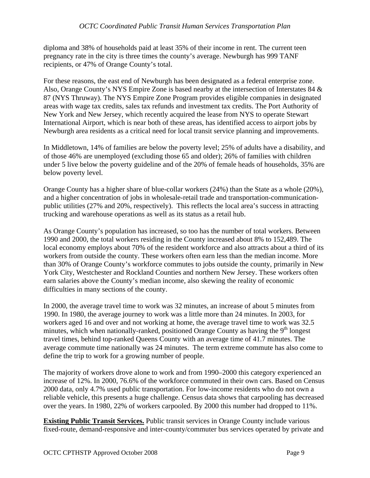diploma and 38% of households paid at least 35% of their income in rent. The current teen pregnancy rate in the city is three times the county's average. Newburgh has 999 TANF recipients, or 47% of Orange County's total.

For these reasons, the east end of Newburgh has been designated as a federal enterprise zone. Also, Orange County's NYS Empire Zone is based nearby at the intersection of Interstates 84 & 87 (NYS Thruway). The NYS Empire Zone Program provides eligible companies in designated areas with wage tax credits, sales tax refunds and investment tax credits. The Port Authority of New York and New Jersey, which recently acquired the lease from NYS to operate Stewart International Airport, which is near both of these areas, has identified access to airport jobs by Newburgh area residents as a critical need for local transit service planning and improvements.

In Middletown, 14% of families are below the poverty level; 25% of adults have a disability, and of those 46% are unemployed (excluding those 65 and older); 26% of families with children under 5 live below the poverty guideline and of the 20% of female heads of households, 35% are below poverty level.

Orange County has a higher share of blue-collar workers (24%) than the State as a whole (20%), and a higher concentration of jobs in wholesale-retail trade and transportation-communicationpublic utilities (27% and 20%, respectively). This reflects the local area's success in attracting trucking and warehouse operations as well as its status as a retail hub.

As Orange County's population has increased, so too has the number of total workers. Between 1990 and 2000, the total workers residing in the County increased about 8% to 152,489. The local economy employs about 70% of the resident workforce and also attracts about a third of its workers from outside the county. These workers often earn less than the median income. More than 30% of Orange County's workforce commutes to jobs outside the county, primarily in New York City, Westchester and Rockland Counties and northern New Jersey. These workers often earn salaries above the County's median income, also skewing the reality of economic difficulties in many sections of the county.

In 2000, the average travel time to work was 32 minutes, an increase of about 5 minutes from 1990. In 1980, the average journey to work was a little more than 24 minutes. In 2003, for workers aged 16 and over and not working at home, the average travel time to work was 32.5 minutes, which when nationally-ranked, positioned Orange County as having the  $9<sup>th</sup>$  longest travel times, behind top-ranked Queens County with an average time of 41.7 minutes. The average commute time nationally was 24 minutes. The term extreme commute has also come to define the trip to work for a growing number of people.

The majority of workers drove alone to work and from 1990–2000 this category experienced an increase of 12%. In 2000, 76.6% of the workforce commuted in their own cars. Based on Census 2000 data, only 4.7% used public transportation. For low-income residents who do not own a reliable vehicle, this presents a huge challenge. Census data shows that carpooling has decreased over the years. In 1980, 22% of workers carpooled. By 2000 this number had dropped to 11%.

**Existing Public Transit Services.** Public transit services in Orange County include various fixed-route, demand-responsive and inter-county/commuter bus services operated by private and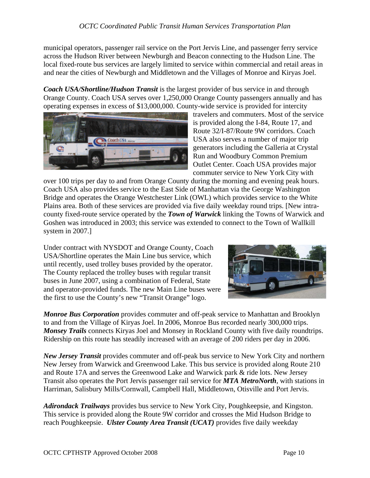municipal operators, passenger rail service on the Port Jervis Line, and passenger ferry service across the Hudson River between Newburgh and Beacon connecting to the Hudson Line. The local fixed-route bus services are largely limited to service within commercial and retail areas in and near the cities of Newburgh and Middletown and the Villages of Monroe and Kiryas Joel.

*Coach USA/Shortline/Hudson Transit* is the largest provider of bus service in and through Orange County. Coach USA serves over 1,250,000 Orange County passengers annually and has operating expenses in excess of \$13,000,000. County-wide service is provided for intercity



travelers and commuters. Most of the service is provided along the I-84, Route 17, and Route 32/I-87/Route 9W corridors. Coach USA also serves a number of major trip generators including the Galleria at Crystal Run and Woodbury Common Premium Outlet Center. Coach USA provides major commuter service to New York City with

over 100 trips per day to and from Orange County during the morning and evening peak hours. Coach USA also provides service to the East Side of Manhattan via the George Washington Bridge and operates the Orange Westchester Link (OWL) which provides service to the White Plains area. Both of these services are provided via five daily weekday round trips. [New intracounty fixed-route service operated by the *Town of Warwick* linking the Towns of Warwick and Goshen was introduced in 2003; this service was extended to connect to the Town of Wallkill system in 2007.]

Under contract with NYSDOT and Orange County, Coach USA/Shortline operates the Main Line bus service, which until recently, used trolley buses provided by the operator. The County replaced the trolley buses with regular transit buses in June 2007, using a combination of Federal, State and operator-provided funds. The new Main Line buses were the first to use the County's new "Transit Orange" logo.



*Monroe Bus Corporation* provides commuter and off-peak service to Manhattan and Brooklyn to and from the Village of Kiryas Joel. In 2006, Monroe Bus recorded nearly 300,000 trips. *Monsey Trails* connects Kiryas Joel and Monsey in Rockland County with five daily roundtrips. Ridership on this route has steadily increased with an average of 200 riders per day in 2006.

*New Jersey Transit* provides commuter and off-peak bus service to New York City and northern New Jersey from Warwick and Greenwood Lake. This bus service is provided along Route 210 and Route 17A and serves the Greenwood Lake and Warwick park & ride lots. New Jersey Transit also operates the Port Jervis passenger rail service for *MTA MetroNorth*, with stations in Harriman, Salisbury Mills/Cornwall, Campbell Hall, Middletown, Otisville and Port Jervis.

*Adirondack Trailways* provides bus service to New York City, Poughkeepsie, and Kingston. This service is provided along the Route 9W corridor and crosses the Mid Hudson Bridge to reach Poughkeepsie. *Ulster County Area Transit (UCAT)* provides five daily weekday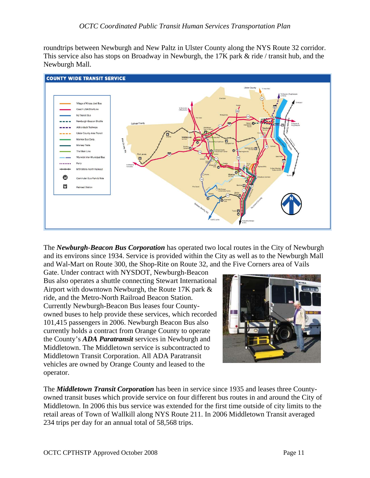roundtrips between Newburgh and New Paltz in Ulster County along the NYS Route 32 corridor. This service also has stops on Broadway in Newburgh, the 17K park & ride / transit hub, and the Newburgh Mall.



The *Newburgh-Beacon Bus Corporation* has operated two local routes in the City of Newburgh and its environs since 1934. Service is provided within the City as well as to the Newburgh Mall and Wal-Mart on Route 300, the Shop-Rite on Route 32, and the Five Corners area of Vails

Gate. Under contract with NYSDOT, Newburgh-Beacon Bus also operates a shuttle connecting Stewart International Airport with downtown Newburgh, the Route 17K park & ride, and the Metro-North Railroad Beacon Station. Currently Newburgh-Beacon Bus leases four Countyowned buses to help provide these services, which recorded 101,415 passengers in 2006. Newburgh Beacon Bus also currently holds a contract from Orange County to operate the County's *ADA Paratransit* services in Newburgh and Middletown. The Middletown service is subcontracted to Middletown Transit Corporation. All ADA Paratransit vehicles are owned by Orange County and leased to the operator.



The *Middletown Transit Corporation* has been in service since 1935 and leases three Countyowned transit buses which provide service on four different bus routes in and around the City of Middletown. In 2006 this bus service was extended for the first time outside of city limits to the retail areas of Town of Wallkill along NYS Route 211. In 2006 Middletown Transit averaged 234 trips per day for an annual total of 58,568 trips.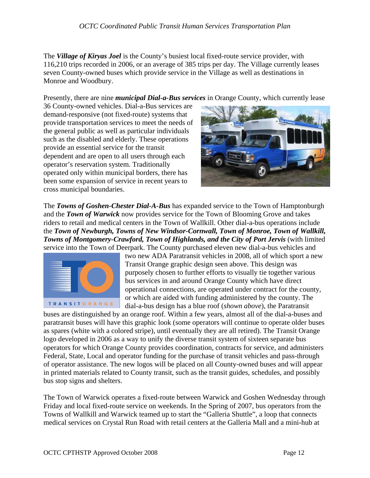The *Village of Kiryas Joel* is the County's busiest local fixed-route service provider, with 116,210 trips recorded in 2006, or an average of 385 trips per day. The Village currently leases seven County-owned buses which provide service in the Village as well as destinations in Monroe and Woodbury.

Presently, there are nine *municipal Dial-a-Bus services* in Orange County, which currently lease

36 County-owned vehicles. Dial-a-Bus services are demand-responsive (not fixed-route) systems that provide transportation services to meet the needs of the general public as well as particular individuals such as the disabled and elderly. These operations provide an essential service for the transit dependent and are open to all users through each operator's reservation system. Traditionally operated only within municipal borders, there has been some expansion of service in recent years to cross municipal boundaries.



The *Towns of Goshen-Chester Dial-A-Bus* has expanded service to the Town of Hamptonburgh and the *Town of Warwick* now provides service for the Town of Blooming Grove and takes riders to retail and medical centers in the Town of Wallkill. Other dial-a-bus operations include the *Town of Newburgh, Towns of New Windsor-Cornwall, Town of Monroe, Town of Wallkill, Towns of Montgomery-Crawford, Town of Highlands, and the City of Port Jervis* (with limited service into the Town of Deerpark. The County purchased eleven new dial-a-bus vehicles and



two new ADA Paratransit vehicles in 2008, all of which sport a new Transit Orange graphic design seen above. This design was purposely chosen to further efforts to visually tie together various bus services in and around Orange County which have direct operational connections, are operated under contract for the county, or which are aided with funding administered by the county. The dial-a-bus design has a blue roof (*shown above*), the Paratransit

buses are distinguished by an orange roof. Within a few years, almost all of the dial-a-buses and paratransit buses will have this graphic look (some operators will continue to operate older buses as spares (white with a colored stripe), until eventually they are all retired). The Transit Orange logo developed in 2006 as a way to unify the diverse transit system of sixteen separate bus operators for which Orange County provides coordination, contracts for service, and administers Federal, State, Local and operator funding for the purchase of transit vehicles and pass-through of operator assistance. The new logos will be placed on all County-owned buses and will appear in printed materials related to County transit, such as the transit guides, schedules, and possibly bus stop signs and shelters.

The Town of Warwick operates a fixed-route between Warwick and Goshen Wednesday through Friday and local fixed-route service on weekends. In the Spring of 2007, bus operators from the Towns of Wallkill and Warwick teamed up to start the "Galleria Shuttle", a loop that connects medical services on Crystal Run Road with retail centers at the Galleria Mall and a mini-hub at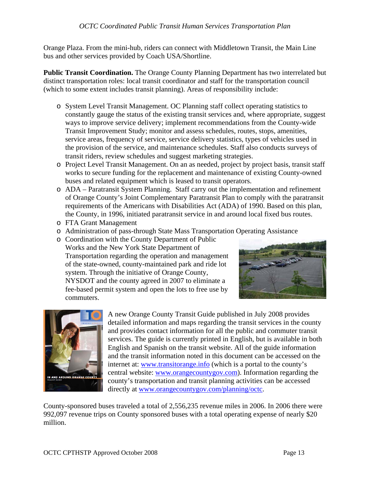Orange Plaza. From the mini-hub, riders can connect with Middletown Transit, the Main Line bus and other services provided by Coach USA/Shortline.

**Public Transit Coordination.** The Orange County Planning Department has two interrelated but distinct transportation roles: local transit coordinator and staff for the transportation council (which to some extent includes transit planning). Areas of responsibility include:

- o System Level Transit Management. OC Planning staff collect operating statistics to constantly gauge the status of the existing transit services and, where appropriate, suggest ways to improve service delivery; implement recommendations from the County-wide Transit Improvement Study; monitor and assess schedules, routes, stops, amenities, service areas, frequency of service, service delivery statistics, types of vehicles used in the provision of the service, and maintenance schedules. Staff also conducts surveys of transit riders, review schedules and suggest marketing strategies.
- o Project Level Transit Management. On an as needed, project by project basis, transit staff works to secure funding for the replacement and maintenance of existing County-owned buses and related equipment which is leased to transit operators.
- o ADA Paratransit System Planning. Staff carry out the implementation and refinement of Orange County's Joint Complementary Paratransit Plan to comply with the paratransit requirements of the Americans with Disabilities Act (ADA) of 1990. Based on this plan, the County, in 1996, initiated paratransit service in and around local fixed bus routes.
- o FTA Grant Management
- o Administration of pass-through State Mass Transportation Operating Assistance
- o Coordination with the County Department of Public Works and the New York State Department of Transportation regarding the operation and management of the state-owned, county-maintained park and ride lot system. Through the initiative of Orange County, NYSDOT and the county agreed in 2007 to eliminate a fee-based permit system and open the lots to free use by commuters.





A new Orange County Transit Guide published in July 2008 provides detailed information and maps regarding the transit services in the county and provides contact information for all the public and commuter transit services. The guide is currently printed in English, but is available in both English and Spanish on the transit website. All of the guide information and the transit information noted in this document can be accessed on the internet at: [www.transitorange.info](http://www.transitorange.info/) (which is a portal to the county's central website: [www.orangecountygov.com](http://www.orangecountygov.com/)). Information regarding the county's transportation and transit planning activities can be accessed directly at [www.orangecountygov.com/planning/octc.](http://www.orangecountygov.com/planning/octc)

County-sponsored buses traveled a total of 2,556,235 revenue miles in 2006. In 2006 there were 992,097 revenue trips on County sponsored buses with a total operating expense of nearly \$20 million.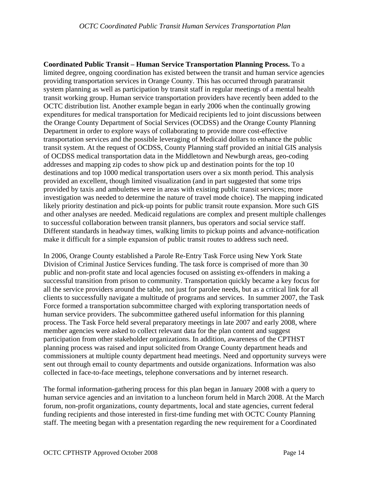**Coordinated Public Transit – Human Service Transportation Planning Process.** To a limited degree, ongoing coordination has existed between the transit and human service agencies providing transportation services in Orange County. This has occurred through paratransit system planning as well as participation by transit staff in regular meetings of a mental health transit working group. Human service transportation providers have recently been added to the OCTC distribution list. Another example began in early 2006 when the continually growing expenditures for medical transportation for Medicaid recipients led to joint discussions between the Orange County Department of Social Services (OCDSS) and the Orange County Planning Department in order to explore ways of collaborating to provide more cost-effective transportation services and the possible leveraging of Medicaid dollars to enhance the public transit system. At the request of OCDSS, County Planning staff provided an initial GIS analysis of OCDSS medical transportation data in the Middletown and Newburgh areas, geo-coding addresses and mapping zip codes to show pick up and destination points for the top 10 destinations and top 1000 medical transportation users over a six month period. This analysis provided an excellent, though limited visualization (and in part suggested that some trips provided by taxis and ambulettes were in areas with existing public transit services; more investigation was needed to determine the nature of travel mode choice). The mapping indicated likely priority destination and pick-up points for public transit route expansion. More such GIS and other analyses are needed. Medicaid regulations are complex and present multiple challenges to successful collaboration between transit planners, bus operators and social service staff. Different standards in headway times, walking limits to pickup points and advance-notification make it difficult for a simple expansion of public transit routes to address such need.

In 2006, Orange County established a Parole Re-Entry Task Force using New York State Division of Criminal Justice Services funding. The task force is comprised of more than 30 public and non-profit state and local agencies focused on assisting ex-offenders in making a successful transition from prison to community. Transportation quickly became a key focus for all the service providers around the table, not just for parolee needs, but as a critical link for all clients to successfully navigate a multitude of programs and services. In summer 2007, the Task Force formed a transportation subcommittee charged with exploring transportation needs of human service providers. The subcommittee gathered useful information for this planning process. The Task Force held several preparatory meetings in late 2007 and early 2008, where member agencies were asked to collect relevant data for the plan content and suggest participation from other stakeholder organizations. In addition, awareness of the CPTHST planning process was raised and input solicited from Orange County department heads and commissioners at multiple county department head meetings. Need and opportunity surveys were sent out through email to county departments and outside organizations. Information was also collected in face-to-face meetings, telephone conversations and by internet research.

The formal information-gathering process for this plan began in January 2008 with a query to human service agencies and an invitation to a luncheon forum held in March 2008. At the March forum, non-profit organizations, county departments, local and state agencies, current federal funding recipients and those interested in first-time funding met with OCTC County Planning staff. The meeting began with a presentation regarding the new requirement for a Coordinated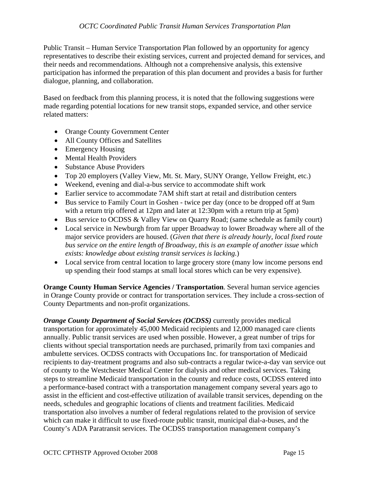Public Transit – Human Service Transportation Plan followed by an opportunity for agency representatives to describe their existing services, current and projected demand for services, and their needs and recommendations. Although not a comprehensive analysis, this extensive participation has informed the preparation of this plan document and provides a basis for further dialogue, planning, and collaboration.

Based on feedback from this planning process, it is noted that the following suggestions were made regarding potential locations for new transit stops, expanded service, and other service related matters:

- Orange County Government Center
- All County Offices and Satellites
- Emergency Housing
- Mental Health Providers
- Substance Abuse Providers
- Top 20 employers (Valley View, Mt. St. Mary, SUNY Orange, Yellow Freight, etc.)
- Weekend, evening and dial-a-bus service to accommodate shift work
- Earlier service to accommodate 7AM shift start at retail and distribution centers
- Bus service to Family Court in Goshen twice per day (once to be dropped off at 9am with a return trip offered at 12pm and later at 12:30pm with a return trip at 5pm)
- Bus service to OCDSS & Valley View on Quarry Road; (same schedule as family court)
- Local service in Newburgh from far upper Broadway to lower Broadway where all of the major service providers are housed. (*Given that there is already hourly, local fixed route bus service on the entire length of Broadway, this is an example of another issue which exists: knowledge about existing transit services is lacking.*)
- Local service from central location to large grocery store (many low income persons end up spending their food stamps at small local stores which can be very expensive).

**Orange County Human Service Agencies / Transportation**. Several human service agencies in Orange County provide or contract for transportation services. They include a cross-section of County Departments and non-profit organizations.

*Orange County Department of Social Services (OCDSS)* currently provides medical transportation for approximately 45,000 Medicaid recipients and 12,000 managed care clients annually. Public transit services are used when possible. However, a great number of trips for clients without special transportation needs are purchased, primarily from taxi companies and ambulette services. OCDSS contracts with Occupations Inc. for transportation of Medicaid recipients to day-treatment programs and also sub-contracts a regular twice-a-day van service out of county to the Westchester Medical Center for dialysis and other medical services. Taking steps to streamline Medicaid transportation in the county and reduce costs, OCDSS entered into a performance-based contract with a transportation management company several years ago to assist in the efficient and cost-effective utilization of available transit services, depending on the needs, schedules and geographic locations of clients and treatment facilities. Medicaid transportation also involves a number of federal regulations related to the provision of service which can make it difficult to use fixed-route public transit, municipal dial-a-buses, and the County's ADA Paratransit services. The OCDSS transportation management company's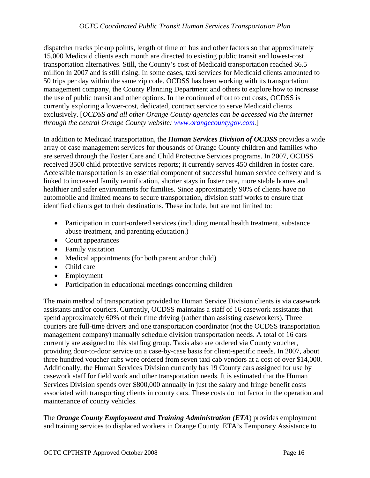dispatcher tracks pickup points, length of time on bus and other factors so that approximately 15,000 Medicaid clients each month are directed to existing public transit and lowest-cost transportation alternatives. Still, the County's cost of Medicaid transportation reached \$6.5 million in 2007 and is still rising. In some cases, taxi services for Medicaid clients amounted to 50 trips per day within the same zip code. OCDSS has been working with its transportation management company, the County Planning Department and others to explore how to increase the use of public transit and other options. In the continued effort to cut costs, OCDSS is currently exploring a lower-cost, dedicated, contract service to serve Medicaid clients exclusively. [*OCDSS and all other Orange County agencies can be accessed via the internet through the central Orange County website: [www.orangecountygov.com](http://www.orangecountygov.com/).*]

In addition to Medicaid transportation, the *Human Services Division of OCDSS* provides a wide array of case management services for thousands of Orange County children and families who are served through the Foster Care and Child Protective Services programs. In 2007, OCDSS received 3500 child protective services reports; it currently serves 450 children in foster care. Accessible transportation is an essential component of successful human service delivery and is linked to increased family reunification, shorter stays in foster care, more stable homes and healthier and safer environments for families. Since approximately 90% of clients have no automobile and limited means to secure transportation, division staff works to ensure that identified clients get to their destinations. These include, but are not limited to:

- Participation in court-ordered services (including mental health treatment, substance abuse treatment, and parenting education.)
- Court appearances
- Family visitation
- Medical appointments (for both parent and/or child)
- Child care
- Employment
- Participation in educational meetings concerning children

The main method of transportation provided to Human Service Division clients is via casework assistants and/or couriers. Currently, OCDSS maintains a staff of 16 casework assistants that spend approximately 60% of their time driving (rather than assisting caseworkers). Three couriers are full-time drivers and one transportation coordinator (not the OCDSS transportation management company) manually schedule division transportation needs. A total of 16 cars currently are assigned to this staffing group. Taxis also are ordered via County voucher, providing door-to-door service on a case-by-case basis for client-specific needs. In 2007, about three hundred voucher cabs were ordered from seven taxi cab vendors at a cost of over \$14,000. Additionally, the Human Services Division currently has 19 County cars assigned for use by casework staff for field work and other transportation needs. It is estimated that the Human Services Division spends over \$800,000 annually in just the salary and fringe benefit costs associated with transporting clients in county cars. These costs do not factor in the operation and maintenance of county vehicles.

The *Orange County Employment and Training Administration (ETA*) provides employment and training services to displaced workers in Orange County. ETA's Temporary Assistance to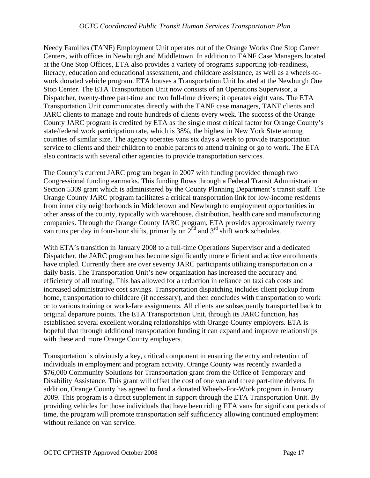Needy Families (TANF) Employment Unit operates out of the Orange Works One Stop Career Centers, with offices in Newburgh and Middletown. In addition to TANF Case Managers located at the One Stop Offices, ETA also provides a variety of programs supporting job-readiness, literacy, education and educational assessment, and childcare assistance, as well as a wheels-towork donated vehicle program. ETA houses a Transportation Unit located at the Newburgh One Stop Center. The ETA Transportation Unit now consists of an Operations Supervisor, a Dispatcher, twenty-three part-time and two full-time drivers; it operates eight vans. The ETA Transportation Unit communicates directly with the TANF case managers, TANF clients and JARC clients to manage and route hundreds of clients every week. The success of the Orange County JARC program is credited by ETA as the single most critical factor for Orange County's state/federal work participation rate, which is 38%, the highest in New York State among counties of similar size. The agency operates vans six days a week to provide transportation service to clients and their children to enable parents to attend training or go to work. The ETA also contracts with several other agencies to provide transportation services.

The County's current JARC program began in 2007 with funding provided through two Congressional funding earmarks. This funding flows through a Federal Transit Administration Section 5309 grant which is administered by the County Planning Department's transit staff. The Orange County JARC program facilitates a critical transportation link for low-income residents from inner city neighborhoods in Middletown and Newburgh to employment opportunities in other areas of the county, typically with warehouse, distribution, health care and manufacturing companies. Through the Orange County JARC program, ETA provides approximately twenty van runs per day in four-hour shifts, primarily on  $2<sup>nd</sup>$  and  $3<sup>rd</sup>$  shift work schedules.

With ETA's transition in January 2008 to a full-time Operations Supervisor and a dedicated Dispatcher, the JARC program has become significantly more efficient and active enrollments have tripled. Currently there are over seventy JARC participants utilizing transportation on a daily basis. The Transportation Unit's new organization has increased the accuracy and efficiency of all routing. This has allowed for a reduction in reliance on taxi cab costs and increased administrative cost savings. Transportation dispatching includes client pickup from home, transportation to childcare (if necessary), and then concludes with transportation to work or to various training or work-fare assignments. All clients are subsequently transported back to original departure points. The ETA Transportation Unit, through its JARC function, has established several excellent working relationships with Orange County employers. ETA is hopeful that through additional transportation funding it can expand and improve relationships with these and more Orange County employers.

Transportation is obviously a key, critical component in ensuring the entry and retention of individuals in employment and program activity. Orange County was recently awarded a \$76,000 Community Solutions for Transportation grant from the Office of Temporary and Disability Assistance. This grant will offset the cost of one van and three part-time drivers. In addition, Orange County has agreed to fund a donated Wheels-For-Work program in January 2009. This program is a direct supplement in support through the ETA Transportation Unit. By providing vehicles for those individuals that have been riding ETA vans for significant periods of time, the program will promote transportation self sufficiency allowing continued employment without reliance on van service.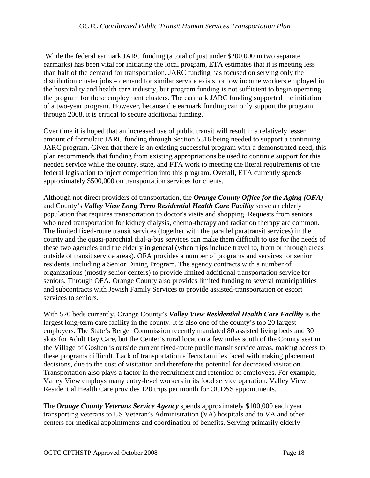While the federal earmark JARC funding (a total of just under \$200,000 in two separate earmarks) has been vital for initiating the local program, ETA estimates that it is meeting less than half of the demand for transportation. JARC funding has focused on serving only the distribution cluster jobs – demand for similar service exists for low income workers employed in the hospitality and health care industry, but program funding is not sufficient to begin operating the program for these employment clusters. The earmark JARC funding supported the initiation of a two-year program. However, because the earmark funding can only support the program through 2008, it is critical to secure additional funding.

Over time it is hoped that an increased use of public transit will result in a relatively lesser amount of formulaic JARC funding through Section 5316 being needed to support a continuing JARC program. Given that there is an existing successful program with a demonstrated need, this plan recommends that funding from existing appropriations be used to continue support for this needed service while the county, state, and FTA work to meeting the literal requirements of the federal legislation to inject competition into this program. Overall, ETA currently spends approximately \$500,000 on transportation services for clients.

Although not direct providers of transportation, the *Orange County Office for the Aging (OFA)* and County's *Valley View Long Term Residential Health Care Facility* serve an elderly population that requires transportation to doctor's visits and shopping. Requests from seniors who need transportation for kidney dialysis, chemo-therapy and radiation therapy are common. The limited fixed-route transit services (together with the parallel paratransit services) in the county and the quasi-parochial dial-a-bus services can make them difficult to use for the needs of these two agencies and the elderly in general (when trips include travel to, from or through areas outside of transit service areas). OFA provides a number of programs and services for senior residents, including a Senior Dining Program. The agency contracts with a number of organizations (mostly senior centers) to provide limited additional transportation service for seniors. Through OFA, Orange County also provides limited funding to several municipalities and subcontracts with Jewish Family Services to provide assisted-transportation or escort services to seniors.

With 520 beds currently, Orange County's *Valley View Residential Health Care Facility* is the largest long-term care facility in the county. It is also one of the county's top 20 largest employers. The State's Berger Commission recently mandated 80 assisted living beds and 30 slots for Adult Day Care, but the Center's rural location a few miles south of the County seat in the Village of Goshen is outside current fixed-route public transit service areas, making access to these programs difficult. Lack of transportation affects families faced with making placement decisions, due to the cost of visitation and therefore the potential for decreased visitation. Transportation also plays a factor in the recruitment and retention of employees. For example, Valley View employs many entry-level workers in its food service operation. Valley View Residential Health Care provides 120 trips per month for OCDSS appointments.

The *Orange County Veterans Service Agency* spends approximately \$100,000 each year transporting veterans to US Veteran's Administration (VA) hospitals and to VA and other centers for medical appointments and coordination of benefits. Serving primarily elderly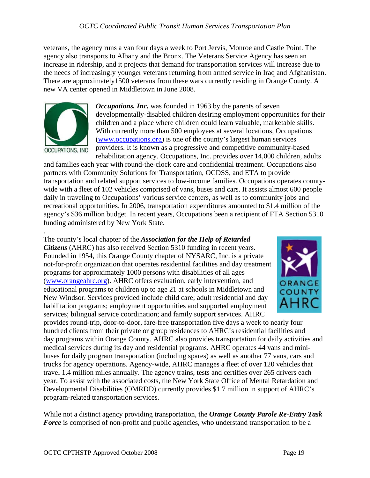veterans, the agency runs a van four days a week to Port Jervis, Monroe and Castle Point. The agency also transports to Albany and the Bronx. The Veterans Service Agency has seen an increase in ridership, and it projects that demand for transportation services will increase due to the needs of increasingly younger veterans returning from armed service in Iraq and Afghanistan. There are approximately1500 veterans from these wars currently residing in Orange County. A new VA center opened in Middletown in June 2008.



*Occupations, Inc.* was founded in 1963 by the parents of seven developmentally-disabled children desiring employment opportunities for their children and a place where children could learn valuable, marketable skills. With currently more than 500 employees at several locations, Occupations [\(www.occupations.org\)](http://www.occupations.org/) is one of the county's largest human services providers. It is known as a progressive and competitive community-based rehabilitation agency. Occupations, Inc. provides over 14,000 children, adults

and families each year with round-the-clock care and confidential treatment. Occupations also partners with Community Solutions for Transportation, OCDSS, and ETA to provide transportation and related support services to low-income families. Occupations operates countywide with a fleet of 102 vehicles comprised of vans, buses and cars. It assists almost 600 people daily in traveling to Occupations' various service centers, as well as to community jobs and recreational opportunities. In 2006, transportation expenditures amounted to \$1.4 million of the agency's \$36 million budget. In recent years, Occupations been a recipient of FTA Section 5310 funding administered by New York State.

. The county's local chapter of the *Association for the Help of Retarded Citizens* (AHRC) has also received Section 5310 funding in recent years. Founded in 1954, this Orange County chapter of NYSARC, Inc. is a private not-for-profit organization that operates residential facilities and day treatment programs for approximately 1000 persons with disabilities of all ages ([www.orangeahrc.org](http://www.orangeahrc.org/)). AHRC offers evaluation, early intervention, and educational programs to children up to age 21 at schools in Middletown and New Windsor. Services provided include child care; adult residential and day habilitation programs; employment opportunities and supported employment services; bilingual service coordination; and family support services. AHRC



provides round-trip, door-to-door, fare-free transportation five days a week to nearly four hundred clients from their private or group residences to AHRC's residential facilities and day programs within Orange County. AHRC also provides transportation for daily activities and medical services during its day and residential programs. AHRC operates 44 vans and minibuses for daily program transportation (including spares) as well as another 77 vans, cars and trucks for agency operations. Agency-wide, AHRC manages a fleet of over 120 vehicles that travel 1.4 million miles annually. The agency trains, tests and certifies over 265 drivers each year. To assist with the associated costs, the New York State Office of Mental Retardation and Developmental Disabilities (OMRDD) currently provides \$1.7 million in support of AHRC's program-related transportation services.

While not a distinct agency providing transportation, the *Orange County Parole Re-Entry Task Force* is comprised of non-profit and public agencies, who understand transportation to be a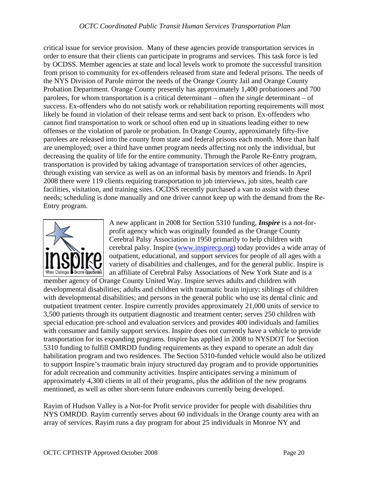critical issue for service provision. Many of these agencies provide transportation services in order to ensure that their clients can participate in programs and services. This task force is led by OCDSS. Member agencies at state and local levels work to promote the successful transition from prison to community for ex-offenders released from state and federal prisons. The needs of the NYS Division of Parole mirror the needs of the Orange County Jail and Orange County Probation Department. Orange County presently has approximately 1,400 probationers and 700 parolees, for whom transportation is a critical determinant – often the *single* determinant – of success. Ex-offenders who do not satisfy work or rehabilitation reporting requirements will most likely be found in violation of their release terms and sent back to prison. Ex-offenders who cannot find transportation to work or school often end up in situations leading either to new offenses or the violation of parole or probation. In Orange County, approximately fifty-five parolees are released into the county from state and federal prisons each month. More than half are unemployed; over a third have unmet program needs affecting not only the individual, but decreasing the quality of life for the entire community. Through the Parole Re-Entry program, transportation is provided by taking advantage of transportation services of other agencies, through existing van service as well as on an informal basis by mentors and friends. In April 2008 there were 119 clients requiring transportation to job interviews, job sites, health care facilities, visitation, and training sites. OCDSS recently purchased a van to assist with these needs; scheduling is done manually and one driver cannot keep up with the demand from the Re-Entry program.



A new applicant in 2008 for Section 5310 funding, *Inspire* is a not-forprofit agency which was originally founded as the Orange County Cerebral Palsy Association in 1950 primarily to help children with cerebral palsy. Inspire [\(www.inspirecp.org](http://www.inspirecp.org/)) today provides a wide array of outpatient, educational, and support services for people of all ages with a variety of disabilities and challenges, and for the general public. Inspire is an affiliate of Cerebral Palsy Associations of New York State and is a

member agency of Orange County United Way. Inspire serves adults and children with developmental disabilities; adults and children with traumatic brain injury; siblings of children with developmental disabilities; and persons in the general public who use its dental clinic and outpatient treatment center. Inspire currently provides approximately 21,000 units of service to 3,500 patients through its outpatient diagnostic and treatment center; serves 250 children with special education pre-school and evaluation services and provides 400 individuals and families with consumer and family support services. Inspire does not currently have a vehicle to provide transportation for its expanding programs. Inspire has applied in 2008 to NYSDOT for Section 5310 funding to fulfill OMRDD funding requirements as they expand to operate an adult day habilitation program and two residences. The Section 5310-funded vehicle would also be utilized to support Inspire's traumatic brain injury structured day program and to provide opportunities for adult recreation and community activities. Inspire anticipates serving a minimum of approximately 4,300 clients in all of their programs, plus the addition of the new programs mentioned, as well as other short-term future endeavors currently being developed.

Rayim of Hudson Valley is a Not-for Profit service provider for people with disabilities thru NYS OMRDD. Rayim currently serves about 60 individuals in the Orange county area with an array of services. Rayim runs a day program for about 25 individuals in Monroe NY and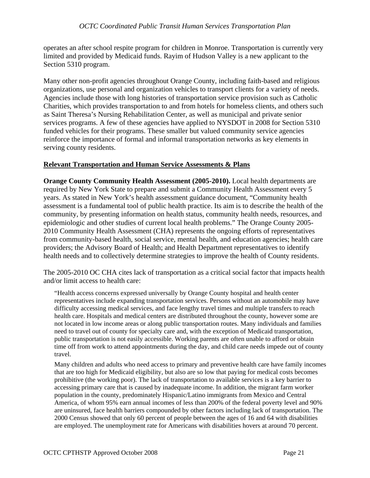operates an after school respite program for children in Monroe. Transportation is currently very limited and provided by Medicaid funds. Rayim of Hudson Valley is a new applicant to the Section 5310 program.

Many other non-profit agencies throughout Orange County, including faith-based and religious organizations, use personal and organization vehicles to transport clients for a variety of needs. Agencies include those with long histories of transportation service provision such as Catholic Charities, which provides transportation to and from hotels for homeless clients, and others such as Saint Theresa's Nursing Rehabilitation Center, as well as municipal and private senior services programs. A few of these agencies have applied to NYSDOT in 2008 for Section 5310 funded vehicles for their programs. These smaller but valued community service agencies reinforce the importance of formal and informal transportation networks as key elements in serving county residents.

#### **Relevant Transportation and Human Service Assessments & Plans**

**Orange County Community Health Assessment (2005-2010).** Local health departments are required by New York State to prepare and submit a Community Health Assessment every 5 years. As stated in New York's health assessment guidance document, "Community health assessment is a fundamental tool of public health practice. Its aim is to describe the health of the community, by presenting information on health status, community health needs, resources, and epidemiologic and other studies of current local health problems." The Orange County 2005- 2010 Community Health Assessment (CHA) represents the ongoing efforts of representatives from community-based health, social service, mental health, and education agencies; health care providers; the Advisory Board of Health; and Health Department representatives to identify health needs and to collectively determine strategies to improve the health of County residents.

The 2005-2010 OC CHA cites lack of transportation as a critical social factor that impacts health and/or limit access to health care:

"Health access concerns expressed universally by Orange County hospital and health center representatives include expanding transportation services. Persons without an automobile may have difficulty accessing medical services, and face lengthy travel times and multiple transfers to reach health care. Hospitals and medical centers are distributed throughout the county, however some are not located in low income areas or along public transportation routes. Many individuals and families need to travel out of county for specialty care and, with the exception of Medicaid transportation, public transportation is not easily accessible. Working parents are often unable to afford or obtain time off from work to attend appointments during the day, and child care needs impede out of county travel.

Many children and adults who need access to primary and preventive health care have family incomes that are too high for Medicaid eligibility, but also are so low that paying for medical costs becomes prohibitive (the working poor). The lack of transportation to available services is a key barrier to accessing primary care that is caused by inadequate income. In addition, the migrant farm worker population in the county, predominately Hispanic/Latino immigrants from Mexico and Central America, of whom 95% earn annual incomes of less than 200% of the federal poverty level and 90% are uninsured, face health barriers compounded by other factors including lack of transportation. The 2000 Census showed that only 60 percent of people between the ages of 16 and 64 with disabilities are employed. The unemployment rate for Americans with disabilities hovers at around 70 percent.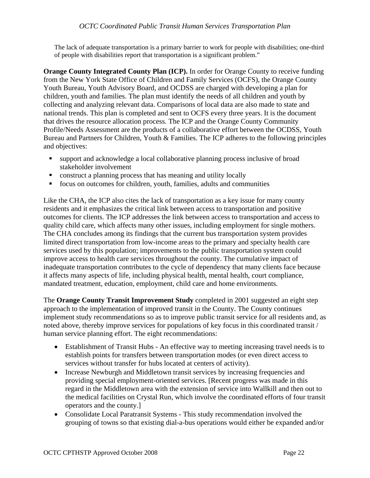The lack of adequate transportation is a primary barrier to work for people with disabilities; one-third of people with disabilities report that transportation is a significant problem."

**Orange County Integrated County Plan (ICP).** In order for Orange County to receive funding from the New York State Office of Children and Family Services (OCFS), the Orange County Youth Bureau, Youth Advisory Board, and OCDSS are charged with developing a plan for children, youth and families. The plan must identify the needs of all children and youth by collecting and analyzing relevant data. Comparisons of local data are also made to state and national trends. This plan is completed and sent to OCFS every three years. It is the document that drives the resource allocation process. The ICP and the Orange County Community Profile/Needs Assessment are the products of a collaborative effort between the OCDSS, Youth Bureau and Partners for Children, Youth & Families. The ICP adheres to the following principles and objectives:

- support and acknowledge a local collaborative planning process inclusive of broad stakeholder involvement
- construct a planning process that has meaning and utility locally
- focus on outcomes for children, youth, families, adults and communities

Like the CHA, the ICP also cites the lack of transportation as a key issue for many county residents and it emphasizes the critical link between access to transportation and positive outcomes for clients. The ICP addresses the link between access to transportation and access to quality child care, which affects many other issues, including employment for single mothers. The CHA concludes among its findings that the current bus transportation system provides limited direct transportation from low-income areas to the primary and specialty health care services used by this population; improvements to the public transportation system could improve access to health care services throughout the county. The cumulative impact of inadequate transportation contributes to the cycle of dependency that many clients face because it affects many aspects of life, including physical health, mental health, court compliance, mandated treatment, education, employment, child care and home environments.

The **Orange County Transit Improvement Study** completed in 2001 suggested an eight step approach to the implementation of improved transit in the County. The County continues implement study recommendations so as to improve public transit service for all residents and, as noted above, thereby improve services for populations of key focus in this coordinated transit / human service planning effort. The eight recommendations:

- Establishment of Transit Hubs An effective way to meeting increasing travel needs is to establish points for transfers between transportation modes (or even direct access to services without transfer for hubs located at centers of activity).
- Increase Newburgh and Middletown transit services by increasing frequencies and providing special employment-oriented services. [Recent progress was made in this regard in the Middletown area with the extension of service into Wallkill and then out to the medical facilities on Crystal Run, which involve the coordinated efforts of four transit operators and the county.]
- Consolidate Local Paratransit Systems This study recommendation involved the grouping of towns so that existing dial-a-bus operations would either be expanded and/or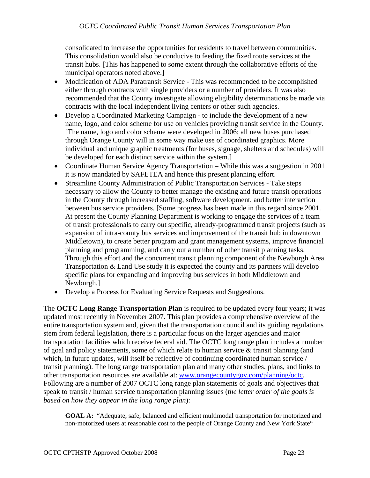consolidated to increase the opportunities for residents to travel between communities. This consolidation would also be conducive to feeding the fixed route services at the transit hubs. [This has happened to some extent through the collaborative efforts of the municipal operators noted above.]

- Modification of ADA Paratransit Service This was recommended to be accomplished either through contracts with single providers or a number of providers. It was also recommended that the County investigate allowing eligibility determinations be made via contracts with the local independent living centers or other such agencies.
- Develop a Coordinated Marketing Campaign to include the development of a new name, logo, and color scheme for use on vehicles providing transit service in the County. [The name, logo and color scheme were developed in 2006; all new buses purchased through Orange County will in some way make use of coordinated graphics. More individual and unique graphic treatments (for buses, signage, shelters and schedules) will be developed for each distinct service within the system.]
- Coordinate Human Service Agency Transportation While this was a suggestion in 2001 it is now mandated by SAFETEA and hence this present planning effort.
- Streamline County Administration of Public Transportation Services Take steps necessary to allow the County to better manage the existing and future transit operations in the County through increased staffing, software development, and better interaction between bus service providers. [Some progress has been made in this regard since 2001. At present the County Planning Department is working to engage the services of a team of transit professionals to carry out specific, already-programmed transit projects (such as expansion of intra-county bus services and improvement of the transit hub in downtown Middletown), to create better program and grant management systems, improve financial planning and programming, and carry out a number of other transit planning tasks. Through this effort and the concurrent transit planning component of the Newburgh Area Transportation & Land Use study it is expected the county and its partners will develop specific plans for expanding and improving bus services in both Middletown and Newburgh.]
- Develop a Process for Evaluating Service Requests and Suggestions.

The **OCTC Long Range Transportation Plan** is required to be updated every four years; it was updated most recently in November 2007. This plan provides a comprehensive overview of the entire transportation system and, given that the transportation council and its guiding regulations stem from federal legislation, there is a particular focus on the larger agencies and major transportation facilities which receive federal aid. The OCTC long range plan includes a number of goal and policy statements, some of which relate to human service & transit planning (and which, in future updates, will itself be reflective of continuing coordinated human service / transit planning). The long range transportation plan and many other studies, plans, and links to other transportation resources are available at: [www.orangecountygov.com/planning/octc](http://www.orangecountygov.com/planning/octc). Following are a number of 2007 OCTC long range plan statements of goals and objectives that speak to transit / human service transportation planning issues (*the letter order of the goals is based on how they appear in the long range plan*):

**GOAL A:** "Adequate, safe, balanced and efficient multimodal transportation for motorized and non-motorized users at reasonable cost to the people of Orange County and New York State"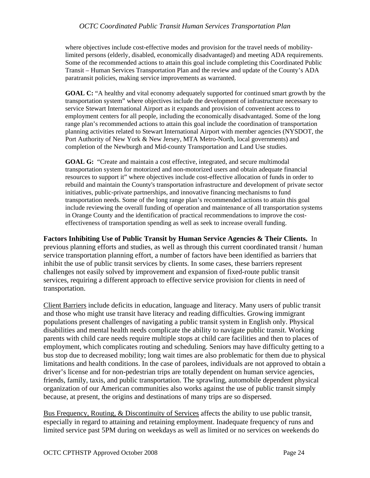where objectives include cost-effective modes and provision for the travel needs of mobilitylimited persons (elderly, disabled, economically disadvantaged) and meeting ADA requirements. Some of the recommended actions to attain this goal include completing this Coordinated Public Transit – Human Services Transportation Plan and the review and update of the County's ADA paratransit policies, making service improvements as warranted.

**GOAL C:** "A healthy and vital economy adequately supported for continued smart growth by the transportation system" where objectives include the development of infrastructure necessary to service Stewart International Airport as it expands and provision of convenient access to employment centers for all people, including the economically disadvantaged. Some of the long range plan's recommended actions to attain this goal include the coordination of transportation planning activities related to Stewart International Airport with member agencies (NYSDOT, the Port Authority of New York & New Jersey, MTA Metro-North, local governments) and completion of the Newburgh and Mid-county Transportation and Land Use studies.

**GOAL G:** "Create and maintain a cost effective, integrated, and secure multimodal transportation system for motorized and non-motorized users and obtain adequate financial resources to support it" where objectives include cost-effective allocation of funds in order to rebuild and maintain the County's transportation infrastructure and development of private sector initiatives, public-private partnerships, and innovative financing mechanisms to fund transportation needs. Some of the long range plan's recommended actions to attain this goal include reviewing the overall funding of operation and maintenance of all transportation systems in Orange County and the identification of practical recommendations to improve the costeffectiveness of transportation spending as well as seek to increase overall funding.

**Factors Inhibiting Use of Public Transit by Human Service Agencies & Their Clients.** In previous planning efforts and studies, as well as through this current coordinated transit / human service transportation planning effort, a number of factors have been identified as barriers that inhibit the use of public transit services by clients. In some cases, these barriers represent challenges not easily solved by improvement and expansion of fixed-route public transit services, requiring a different approach to effective service provision for clients in need of transportation.

Client Barriers include deficits in education, language and literacy. Many users of public transit and those who might use transit have literacy and reading difficulties. Growing immigrant populations present challenges of navigating a public transit system in English only. Physical disabilities and mental health needs complicate the ability to navigate public transit. Working parents with child care needs require multiple stops at child care facilities and then to places of employment, which complicates routing and scheduling. Seniors may have difficulty getting to a bus stop due to decreased mobility; long wait times are also problematic for them due to physical limitations and health conditions. In the case of parolees, individuals are not approved to obtain a driver's license and for non-pedestrian trips are totally dependent on human service agencies, friends, family, taxis, and public transportation. The sprawling, automobile dependent physical organization of our American communities also works against the use of public transit simply because, at present, the origins and destinations of many trips are so dispersed.

Bus Frequency, Routing, & Discontinuity of Services affects the ability to use public transit, especially in regard to attaining and retaining employment. Inadequate frequency of runs and limited service past 5PM during on weekdays as well as limited or no services on weekends do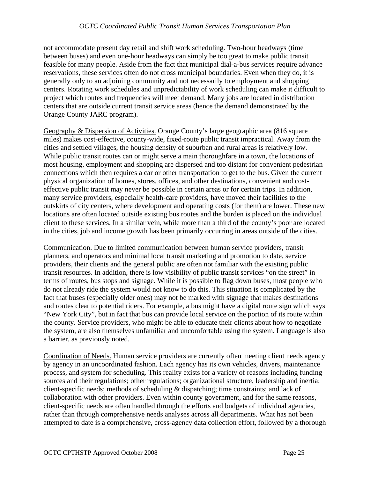not accommodate present day retail and shift work scheduling. Two-hour headways (time between buses) and even one-hour headways can simply be too great to make public transit feasible for many people. Aside from the fact that municipal dial-a-bus services require advance reservations, these services often do not cross municipal boundaries. Even when they do, it is generally only to an adjoining community and not necessarily to employment and shopping centers. Rotating work schedules and unpredictability of work scheduling can make it difficult to project which routes and frequencies will meet demand. Many jobs are located in distribution centers that are outside current transit service areas (hence the demand demonstrated by the Orange County JARC program).

Geography & Dispersion of Activities. Orange County's large geographic area (816 square miles) makes cost-effective, county-wide, fixed-route public transit impractical. Away from the cities and settled villages, the housing density of suburban and rural areas is relatively low. While public transit routes can or might serve a main thoroughfare in a town, the locations of most housing, employment and shopping are dispersed and too distant for convenient pedestrian connections which then requires a car or other transportation to get to the bus. Given the current physical organization of homes, stores, offices, and other destinations, convenient and costeffective public transit may never be possible in certain areas or for certain trips. In addition, many service providers, especially health-care providers, have moved their facilities to the outskirts of city centers, where development and operating costs (for them) are lower. These new locations are often located outside existing bus routes and the burden is placed on the individual client to these services. In a similar vein, while more than a third of the county's poor are located in the cities, job and income growth has been primarily occurring in areas outside of the cities.

Communication. Due to limited communication between human service providers, transit planners, and operators and minimal local transit marketing and promotion to date, service providers, their clients and the general public are often not familiar with the existing public transit resources. In addition, there is low visibility of public transit services "on the street" in terms of routes, bus stops and signage. While it is possible to flag down buses, most people who do not already ride the system would not know to do this. This situation is complicated by the fact that buses (especially older ones) may not be marked with signage that makes destinations and routes clear to potential riders. For example, a bus might have a digital route sign which says "New York City", but in fact that bus can provide local service on the portion of its route within the county. Service providers, who might be able to educate their clients about how to negotiate the system, are also themselves unfamiliar and uncomfortable using the system. Language is also a barrier, as previously noted.

Coordination of Needs. Human service providers are currently often meeting client needs agency by agency in an uncoordinated fashion. Each agency has its own vehicles, drivers, maintenance process, and system for scheduling. This reality exists for a variety of reasons including funding sources and their regulations; other regulations; organizational structure, leadership and inertia; client-specific needs; methods of scheduling & dispatching; time constraints; and lack of collaboration with other providers. Even within county government, and for the same reasons, client-specific needs are often handled through the efforts and budgets of individual agencies, rather than through comprehensive needs analyses across all departments. What has not been attempted to date is a comprehensive, cross-agency data collection effort, followed by a thorough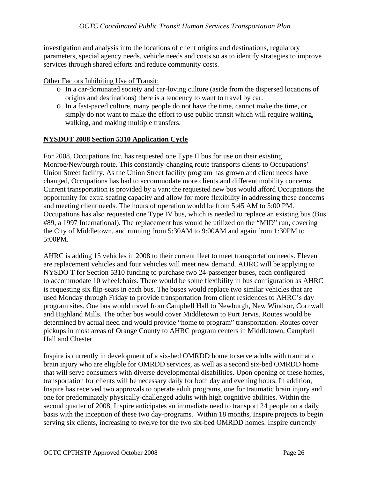investigation and analysis into the locations of client origins and destinations, regulatory parameters, special agency needs, vehicle needs and costs so as to identify strategies to improve services through shared efforts and reduce community costs.

## Other Factors Inhibiting Use of Transit:

- o In a car-dominated society and car-loving culture (aside from the dispersed locations of origins and destinations) there is a tendency to want to travel by car.
- o In a fast-paced culture, many people do not have the time, cannot make the time, or simply do not want to make the effort to use public transit which will require waiting, walking, and making multiple transfers.

# **NYSDOT 2008 Section 5310 Application Cycle**

For 2008, Occupations Inc. has requested one Type II bus for use on their existing Monroe/Newburgh route. This constantly-changing route transports clients to Occupations' Union Street facility. As the Union Street facility program has grown and client needs have changed, Occupations has had to accommodate more clients and different mobility concerns. Current transportation is provided by a van; the requested new bus would afford Occupations the opportunity for extra seating capacity and allow for more flexibility in addressing these concerns and meeting client needs. The hours of operation would be from 5:45 AM to 5:00 PM. Occupations has also requested one Type IV bus, which is needed to replace an existing bus (Bus #89, a 1997 International). The replacement bus would be utilized on the "MID" run, covering the City of Middletown, and running from 5:30AM to 9:00AM and again from 1:30PM to 5:00PM.

AHRC is adding 15 vehicles in 2008 to their current fleet to meet transportation needs. Eleven are replacement vehicles and four vehicles will meet new demand. AHRC will be applying to NYSDO T for Section 5310 funding to purchase two 24-passenger buses, each configured to accommodate 10 wheelchairs. There would be some flexibility in bus configuration as AHRC is requesting six flip-seats in each bus. The buses would replace two similar vehicles that are used Monday through Friday to provide transportation from client residences to AHRC's day program sites. One bus would travel from Campbell Hall to Newburgh, New Windsor, Cornwall and Highland Mills. The other bus would cover Middletown to Port Jervis. Routes would be determined by actual need and would provide "home to program" transportation. Routes cover pickups in most areas of Orange County to AHRC program centers in Middletown, Campbell Hall and Chester.

Inspire is currently in development of a six-bed OMRDD home to serve adults with traumatic brain injury who are eligible for OMRDD services, as well as a second six-bed OMRDD home that will serve consumers with diverse developmental disabilities. Upon opening of these homes, transportation for clients will be necessary daily for both day and evening hours. In addition, Inspire has received two approvals to operate adult programs, one for traumatic brain injury and one for predominately physically-challenged adults with high cognitive abilities. Within the second quarter of 2008, Inspire anticipates an immediate need to transport 24 people on a daily basis with the inception of these two day-programs. Within 18 months, Inspire projects to begin serving six clients, increasing to twelve for the two six-bed OMRDD homes. Inspire currently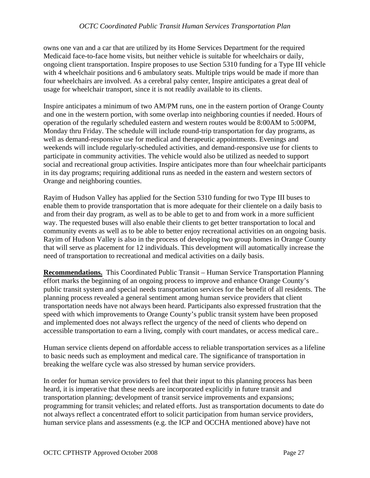owns one van and a car that are utilized by its Home Services Department for the required Medicaid face-to-face home visits, but neither vehicle is suitable for wheelchairs or daily, ongoing client transportation. Inspire proposes to use Section 5310 funding for a Type III vehicle with 4 wheelchair positions and 6 ambulatory seats. Multiple trips would be made if more than four wheelchairs are involved. As a cerebral palsy center, Inspire anticipates a great deal of usage for wheelchair transport, since it is not readily available to its clients.

Inspire anticipates a minimum of two AM/PM runs, one in the eastern portion of Orange County and one in the western portion, with some overlap into neighboring counties if needed. Hours of operation of the regularly scheduled eastern and western routes would be 8:00AM to 5:00PM, Monday thru Friday. The schedule will include round-trip transportation for day programs, as well as demand-responsive use for medical and therapeutic appointments. Evenings and weekends will include regularly-scheduled activities, and demand-responsive use for clients to participate in community activities. The vehicle would also be utilized as needed to support social and recreational group activities. Inspire anticipates more than four wheelchair participants in its day programs; requiring additional runs as needed in the eastern and western sectors of Orange and neighboring counties.

Rayim of Hudson Valley has applied for the Section 5310 funding for two Type III buses to enable them to provide transportation that is more adequate for their clientele on a daily basis to and from their day program, as well as to be able to get to and from work in a more sufficient way. The requested buses will also enable their clients to get better transportation to local and community events as well as to be able to better enjoy recreational activities on an ongoing basis. Rayim of Hudson Valley is also in the process of developing two group homes in Orange County that will serve as placement for 12 individuals. This development will automatically increase the need of transportation to recreational and medical activities on a daily basis.

**Recommendations.** This Coordinated Public Transit – Human Service Transportation Planning effort marks the beginning of an ongoing process to improve and enhance Orange County's public transit system and special needs transportation services for the benefit of all residents. The planning process revealed a general sentiment among human service providers that client transportation needs have not always been heard. Participants also expressed frustration that the speed with which improvements to Orange County's public transit system have been proposed and implemented does not always reflect the urgency of the need of clients who depend on accessible transportation to earn a living, comply with court mandates, or access medical care..

Human service clients depend on affordable access to reliable transportation services as a lifeline to basic needs such as employment and medical care. The significance of transportation in breaking the welfare cycle was also stressed by human service providers.

In order for human service providers to feel that their input to this planning process has been heard, it is imperative that these needs are incorporated explicitly in future transit and transportation planning; development of transit service improvements and expansions; programming for transit vehicles; and related efforts. Just as transportation documents to date do not always reflect a concentrated effort to solicit participation from human service providers, human service plans and assessments (e.g. the ICP and OCCHA mentioned above) have not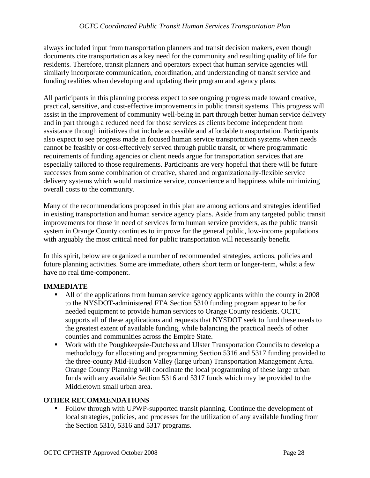always included input from transportation planners and transit decision makers, even though documents cite transportation as a key need for the community and resulting quality of life for residents. Therefore, transit planners and operators expect that human service agencies will similarly incorporate communication, coordination, and understanding of transit service and funding realities when developing and updating their program and agency plans.

All participants in this planning process expect to see ongoing progress made toward creative, practical, sensitive, and cost-effective improvements in public transit systems. This progress will assist in the improvement of community well-being in part through better human service delivery and in part through a reduced need for those services as clients become independent from assistance through initiatives that include accessible and affordable transportation. Participants also expect to see progress made in focused human service transportation systems when needs cannot be feasibly or cost-effectively served through public transit, or where programmatic requirements of funding agencies or client needs argue for transportation services that are especially tailored to those requirements. Participants are very hopeful that there will be future successes from some combination of creative, shared and organizationally-flexible service delivery systems which would maximize service, convenience and happiness while minimizing overall costs to the community.

Many of the recommendations proposed in this plan are among actions and strategies identified in existing transportation and human service agency plans. Aside from any targeted public transit improvements for those in need of services form human service providers, as the public transit system in Orange County continues to improve for the general public, low-income populations with arguably the most critical need for public transportation will necessarily benefit.

In this spirit, below are organized a number of recommended strategies, actions, policies and future planning activities. Some are immediate, others short term or longer-term, whilst a few have no real time-component.

#### **IMMEDIATE**

- All of the applications from human service agency applicants within the county in 2008 to the NYSDOT-administered FTA Section 5310 funding program appear to be for needed equipment to provide human services to Orange County residents. OCTC supports all of these applications and requests that NYSDOT seek to fund these needs to the greatest extent of available funding, while balancing the practical needs of other counties and communities across the Empire State.
- Work with the Poughkeepsie-Dutchess and Ulster Transportation Councils to develop a methodology for allocating and programming Section 5316 and 5317 funding provided to the three-county Mid-Hudson Valley (large urban) Transportation Management Area. Orange County Planning will coordinate the local programming of these large urban funds with any available Section 5316 and 5317 funds which may be provided to the Middletown small urban area.

#### **OTHER RECOMMENDATIONS**

 Follow through with UPWP-supported transit planning. Continue the development of local strategies, policies, and processes for the utilization of any available funding from the Section 5310, 5316 and 5317 programs.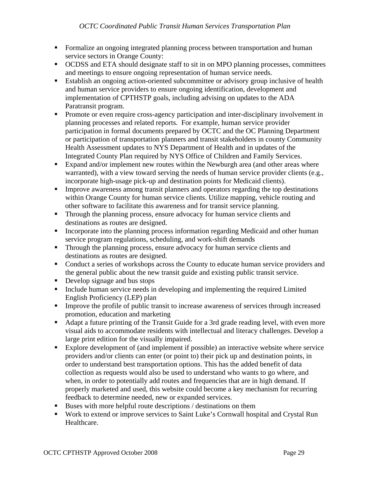- Formalize an ongoing integrated planning process between transportation and human service sectors in Orange County:
- OCDSS and ETA should designate staff to sit in on MPO planning processes, committees and meetings to ensure ongoing representation of human service needs.
- **Establish an ongoing action-oriented subcommittee or advisory group inclusive of health** and human service providers to ensure ongoing identification, development and implementation of CPTHSTP goals, including advising on updates to the ADA Paratransit program.
- **Promote or even require cross-agency participation and inter-disciplinary involvement in** planning processes and related reports. For example, human service provider participation in formal documents prepared by OCTC and the OC Planning Department or participation of transportation planners and transit stakeholders in county Community Health Assessment updates to NYS Department of Health and in updates of the Integrated County Plan required by NYS Office of Children and Family Services.
- Expand and/or implement new routes within the Newburgh area (and other areas where warranted), with a view toward serving the needs of human service provider clients (e.g., incorporate high-usage pick-up and destination points for Medicaid clients).
- **IMPROVE ARTIFY IMPROVE ARTIFY** 1 Improve awareness among transit planners and operators regarding the top destinations within Orange County for human service clients. Utilize mapping, vehicle routing and other software to facilitate this awareness and for transit service planning.
- Through the planning process, ensure advocacy for human service clients and destinations as routes are designed.
- Incorporate into the planning process information regarding Medicaid and other human service program regulations, scheduling, and work-shift demands
- **Through the planning process, ensure advocacy for human service clients and** destinations as routes are designed.
- Conduct a series of workshops across the County to educate human service providers and the general public about the new transit guide and existing public transit service.
- Develop signage and bus stops
- Include human service needs in developing and implementing the required Limited English Proficiency (LEP) plan
- Improve the profile of public transit to increase awareness of services through increased promotion, education and marketing
- Adapt a future printing of the Transit Guide for a 3rd grade reading level, with even more visual aids to accommodate residents with intellectual and literacy challenges. Develop a large print edition for the visually impaired.
- Explore development of (and implement if possible) an interactive website where service providers and/or clients can enter (or point to) their pick up and destination points, in order to understand best transportation options. This has the added benefit of data collection as requests would also be used to understand who wants to go where, and when, in order to potentially add routes and frequencies that are in high demand. If properly marketed and used, this website could become a key mechanism for recurring feedback to determine needed, new or expanded services.
- Buses with more helpful route descriptions / destinations on them
- Work to extend or improve services to Saint Luke's Cornwall hospital and Crystal Run Healthcare.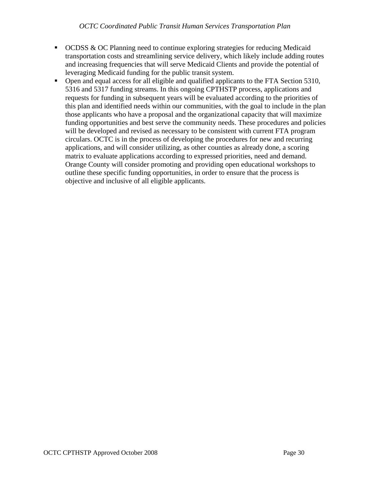- OCDSS & OC Planning need to continue exploring strategies for reducing Medicaid transportation costs and streamlining service delivery, which likely include adding routes and increasing frequencies that will serve Medicaid Clients and provide the potential of leveraging Medicaid funding for the public transit system.
- Open and equal access for all eligible and qualified applicants to the FTA Section 5310, 5316 and 5317 funding streams. In this ongoing CPTHSTP process, applications and requests for funding in subsequent years will be evaluated according to the priorities of this plan and identified needs within our communities, with the goal to include in the plan those applicants who have a proposal and the organizational capacity that will maximize funding opportunities and best serve the community needs. These procedures and policies will be developed and revised as necessary to be consistent with current FTA program circulars. OCTC is in the process of developing the procedures for new and recurring applications, and will consider utilizing, as other counties as already done, a scoring matrix to evaluate applications according to expressed priorities, need and demand. Orange County will consider promoting and providing open educational workshops to outline these specific funding opportunities, in order to ensure that the process is objective and inclusive of all eligible applicants.